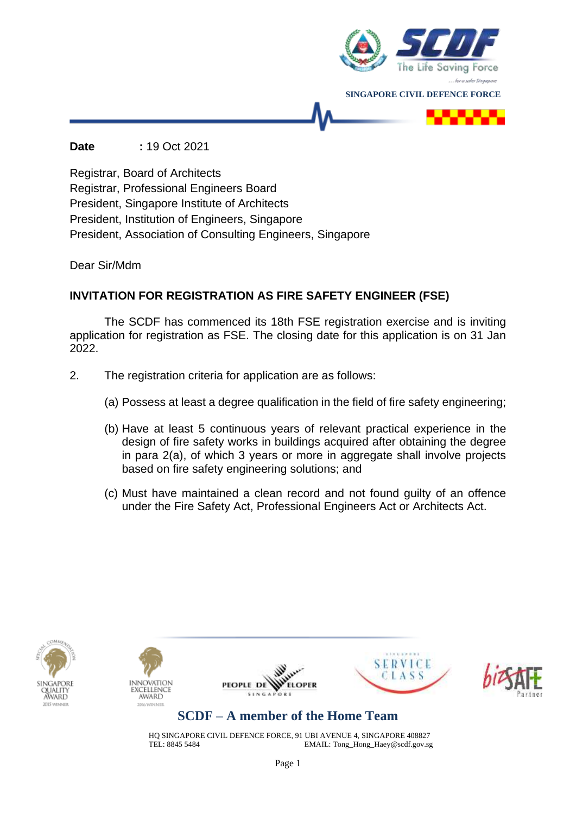

#### **Date :** 19 Oct 2021

Registrar, Board of Architects Registrar, Professional Engineers Board President, Singapore Institute of Architects President, Institution of Engineers, Singapore President, Association of Consulting Engineers, Singapore

Dear Sir/Mdm

### **INVITATION FOR REGISTRATION AS FIRE SAFETY ENGINEER (FSE)**

The SCDF has commenced its 18th FSE registration exercise and is inviting application for registration as FSE. The closing date for this application is on 31 Jan 2022.

- 2. The registration criteria for application are as follows:
	- (a) Possess at least a degree qualification in the field of fire safety engineering;
	- (b) Have at least 5 continuous years of relevant practical experience in the design of fire safety works in buildings acquired after obtaining the degree in para 2(a), of which 3 years or more in aggregate shall involve projects based on fire safety engineering solutions; and
	- (c) Must have maintained a clean record and not found guilty of an offence under the Fire Safety Act, Professional Engineers Act or Architects Act.











## **SCDF – A member of the Home Team**

HQ SINGAPORE CIVIL DEFENCE FORCE, 91 UBI AVENUE 4, SINGAPORE 408827<br>EMAIL: Tong\_Hong\_Haey@scdf.gov.sg EMAIL: Tong\_Hong\_Haey@scdf.gov.sg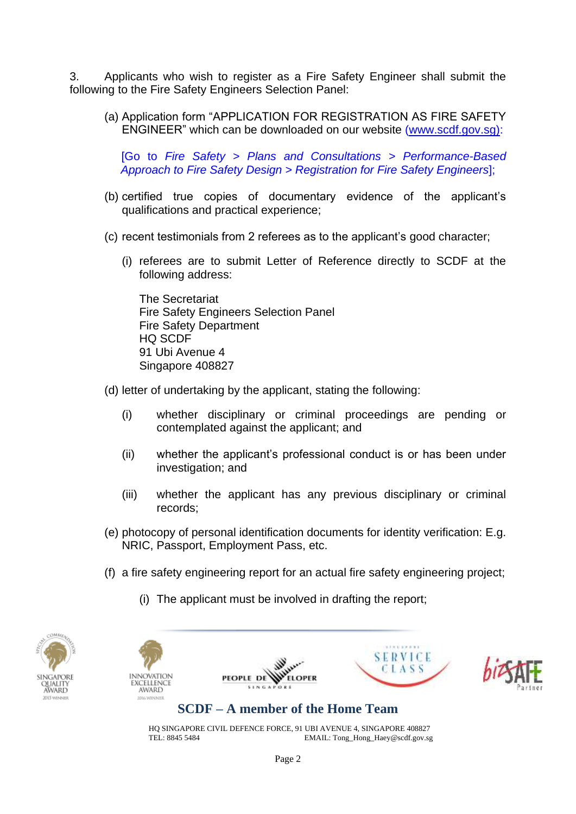3. Applicants who wish to register as a Fire Safety Engineer shall submit the following to the Fire Safety Engineers Selection Panel:

(a) Application form "APPLICATION FOR REGISTRATION AS FIRE SAFETY ENGINEER" which can be downloaded on our website [\(www.scdf.gov.sg\)](http://www.scdf.gov.sg/):

[Go to *Fire Safety > Plans and Consultations > Performance-Based Approach to Fire Safety Design > Registration for Fire Safety Engineers*];

- (b) certified true copies of documentary evidence of the applicant's qualifications and practical experience;
- (c) recent testimonials from 2 referees as to the applicant's good character;
	- (i) referees are to submit Letter of Reference directly to SCDF at the following address:

The Secretariat Fire Safety Engineers Selection Panel Fire Safety Department HQ SCDF 91 Ubi Avenue 4 Singapore 408827

- (d) letter of undertaking by the applicant, stating the following:
	- (i) whether disciplinary or criminal proceedings are pending or contemplated against the applicant; and
	- (ii) whether the applicant's professional conduct is or has been under investigation; and
	- (iii) whether the applicant has any previous disciplinary or criminal records;
- (e) photocopy of personal identification documents for identity verification: E.g. NRIC, Passport, Employment Pass, etc.
- (f) a fire safety engineering report for an actual fire safety engineering project;
	- (i) The applicant must be involved in drafting the report;









# **SCDF – A member of the Home Team**

PEOPLE DE

HQ SINGAPORE CIVIL DEFENCE FORCE, 91 UBI AVENUE 4, SINGAPORE 408827<br>EMAIL: Tong Hong Haev@scdf.gov.sg EMAIL: Tong\_Hong\_Haey@scdf.gov.sg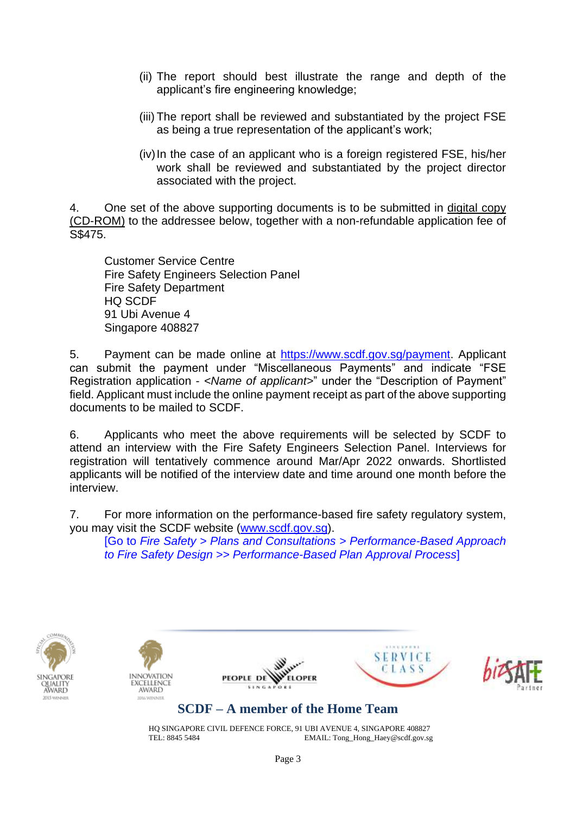- (ii) The report should best illustrate the range and depth of the applicant's fire engineering knowledge;
- (iii) The report shall be reviewed and substantiated by the project FSE as being a true representation of the applicant's work;
- (iv)In the case of an applicant who is a foreign registered FSE, his/her work shall be reviewed and substantiated by the project director associated with the project.

4. One set of the above supporting documents is to be submitted in digital copy (CD-ROM) to the addressee below, together with a non-refundable application fee of S\$475.

Customer Service Centre Fire Safety Engineers Selection Panel Fire Safety Department HQ SCDF 91 Ubi Avenue 4 Singapore 408827

5. Payment can be made online at [https://www.scdf.gov.sg/payment.](https://www.scdf.gov.sg/payment) Applicant can submit the payment under "Miscellaneous Payments" and indicate "FSE Registration application - *<Name of applicant>*" under the "Description of Payment" field. Applicant must include the online payment receipt as part of the above supporting documents to be mailed to SCDF.

6. Applicants who meet the above requirements will be selected by SCDF to attend an interview with the Fire Safety Engineers Selection Panel. Interviews for registration will tentatively commence around Mar/Apr 2022 onwards. Shortlisted applicants will be notified of the interview date and time around one month before the interview.

7. For more information on the performance-based fire safety regulatory system, you may visit the SCDF website [\(www.scdf.gov.sg\)](http://www.scdf.gov.sg/).

[Go to *Fire Safety > Plans and Consultations > Performance-Based Approach to Fire Safety Design >> Performance-Based Plan Approval Process*]











## **SCDF – A member of the Home Team**

HQ SINGAPORE CIVIL DEFENCE FORCE, 91 UBI AVENUE 4, SINGAPORE 408827<br>FMAIL: Tong Hong Haev@scdf gov ss EMAIL: Tong\_Hong\_Haey@scdf.gov.sg